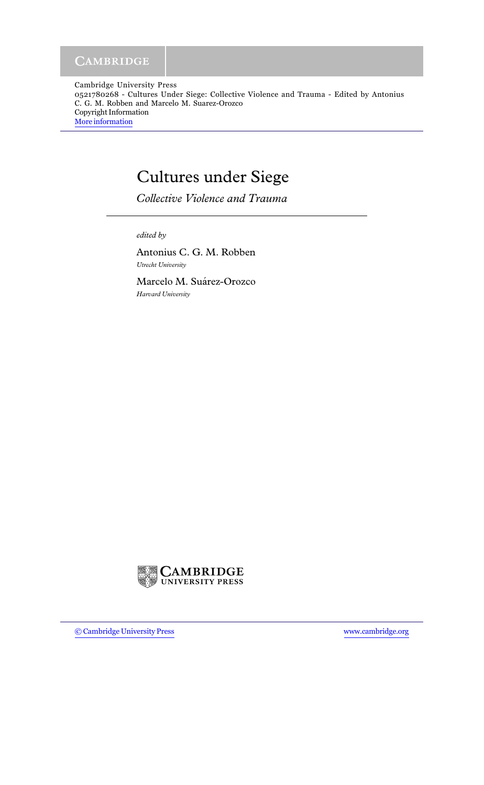Cambridge University Press 0521780268 - Cultures Under Siege: Collective Violence and Trauma - Edited by Antonius C. G. M. Robben and Marcelo M. Suarez-Orozco Copyright Information More information

## **Cultures under Siege**

Collective Violence and Trauma

edited by

Antonius C. G. M. Robben Utrecht University

Marcelo M. Suárez-Orozco Harvard University